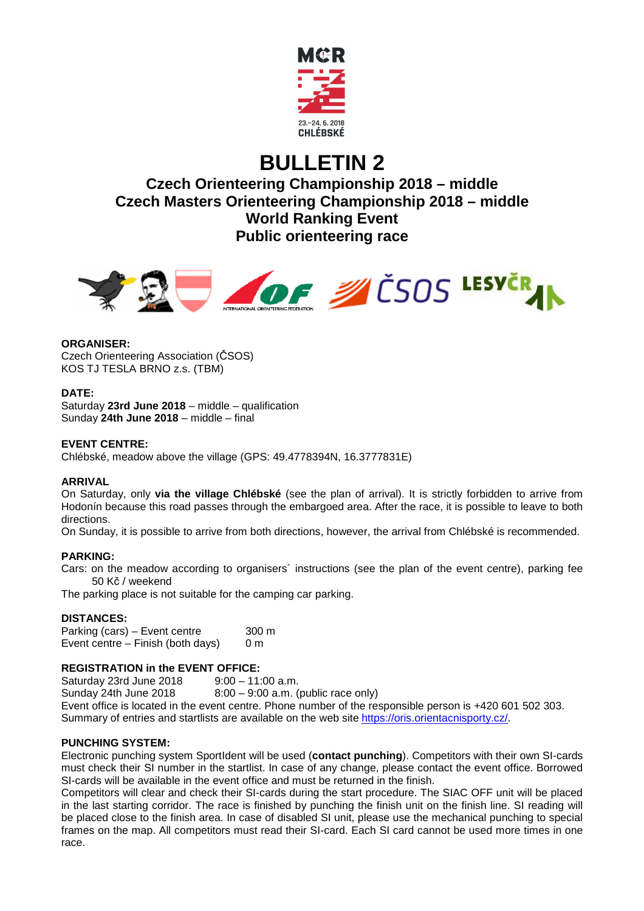

# **BULLETIN 2**

**Czech Orienteering Championship 2018 – middle Czech Masters Orienteering Championship 2018 – middle World Ranking Event Public orienteering race** 



# **ORGANISER:**

Czech Orienteering Association (ČSOS) KOS TJ TESLA BRNO z.s. (TBM)

# **DATE:**

Saturday **23rd June 2018** – middle – qualification Sunday **24th June 2018** – middle – final

# **EVENT CENTRE:**

Chlébské, meadow above the village (GPS: 49.4778394N, 16.3777831E)

# **ARRIVAL**

On Saturday, only **via the village Chlébské** (see the plan of arrival). It is strictly forbidden to arrive from Hodonín because this road passes through the embargoed area. After the race, it is possible to leave to both directions.

On Sunday, it is possible to arrive from both directions, however, the arrival from Chlébské is recommended.

# **PARKING:**

Cars: on the meadow according to organisers´ instructions (see the plan of the event centre), parking fee 50 Kč / weekend

The parking place is not suitable for the camping car parking.

# **DISTANCES:**

Parking (cars) – Event centre 300 m Event centre – Finish (both days)  $0 \text{ m}$ 

# **REGISTRATION in the EVENT OFFICE:**

Saturday 23rd June 2018 9:00 – 11:00 a.m. Sunday 24th June 2018  $8:00 - 9:00$  a.m. (public race only) Event office is located in the event centre. Phone number of the responsible person is +420 601 502 303. Summary of entries and startlists are available on the web site https://oris.orientacnisporty.cz/.

# **PUNCHING SYSTEM:**

Electronic punching system SportIdent will be used (**contact punching**). Competitors with their own SI-cards must check their SI number in the startlist. In case of any change, please contact the event office. Borrowed SI-cards will be available in the event office and must be returned in the finish.

Competitors will clear and check their SI-cards during the start procedure. The SIAC OFF unit will be placed in the last starting corridor. The race is finished by punching the finish unit on the finish line. SI reading will be placed close to the finish area. In case of disabled SI unit, please use the mechanical punching to special frames on the map. All competitors must read their SI-card. Each SI card cannot be used more times in one race.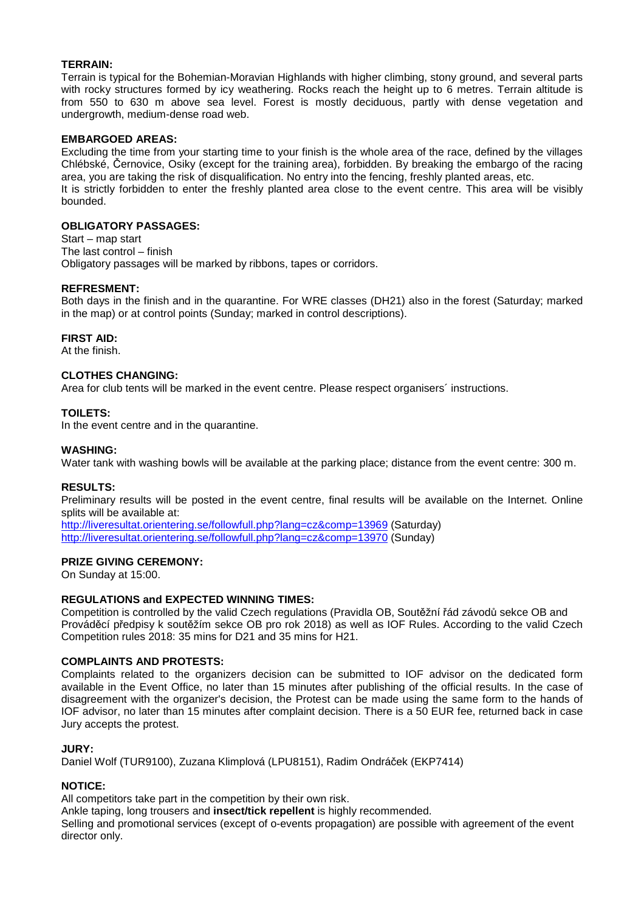# **TERRAIN:**

Terrain is typical for the Bohemian-Moravian Highlands with higher climbing, stony ground, and several parts with rocky structures formed by icy weathering. Rocks reach the height up to 6 metres. Terrain altitude is from 550 to 630 m above sea level. Forest is mostly deciduous, partly with dense vegetation and undergrowth, medium-dense road web.

# **EMBARGOED AREAS:**

Excluding the time from your starting time to your finish is the whole area of the race, defined by the villages Chlébské, Černovice, Osiky (except for the training area), forbidden. By breaking the embargo of the racing area, you are taking the risk of disqualification. No entry into the fencing, freshly planted areas, etc. It is strictly forbidden to enter the freshly planted area close to the event centre. This area will be visibly bounded.

# **OBLIGATORY PASSAGES:**

Start – map start The last control – finish Obligatory passages will be marked by ribbons, tapes or corridors.

# **REFRESMENT:**

Both days in the finish and in the quarantine. For WRE classes (DH21) also in the forest (Saturday; marked in the map) or at control points (Sunday; marked in control descriptions).

# **FIRST AID:**

At the finish.

# **CLOTHES CHANGING:**

Area for club tents will be marked in the event centre. Please respect organisers´ instructions.

# **TOILETS:**

In the event centre and in the quarantine.

# **WASHING:**

Water tank with washing bowls will be available at the parking place; distance from the event centre: 300 m.

# **RESULTS:**

Preliminary results will be posted in the event centre, final results will be available on the Internet. Online splits will be available at:

http://liveresultat.orientering.se/followfull.php?lang=cz&comp=13969 (Saturday) http://liveresultat.orientering.se/followfull.php?lang=cz&comp=13970 (Sunday)

# **PRIZE GIVING CEREMONY:**

On Sunday at 15:00.

# **REGULATIONS and EXPECTED WINNING TIMES:**

Competition is controlled by the valid Czech regulations (Pravidla OB, Soutěžní řád závodů sekce OB and Prováděcí předpisy k soutěžím sekce OB pro rok 2018) as well as IOF Rules. According to the valid Czech Competition rules 2018: 35 mins for D21 and 35 mins for H21.

# **COMPLAINTS AND PROTESTS:**

Complaints related to the organizers decision can be submitted to IOF advisor on the dedicated form available in the Event Office, no later than 15 minutes after publishing of the official results. In the case of disagreement with the organizer's decision, the Protest can be made using the same form to the hands of IOF advisor, no later than 15 minutes after complaint decision. There is a 50 EUR fee, returned back in case Jury accepts the protest.

# **JURY:**

Daniel Wolf (TUR9100), Zuzana Klimplová (LPU8151), Radim Ondráček (EKP7414)

# **NOTICE:**

All competitors take part in the competition by their own risk.

Ankle taping, long trousers and **insect/tick repellent** is highly recommended.

Selling and promotional services (except of o-events propagation) are possible with agreement of the event director only.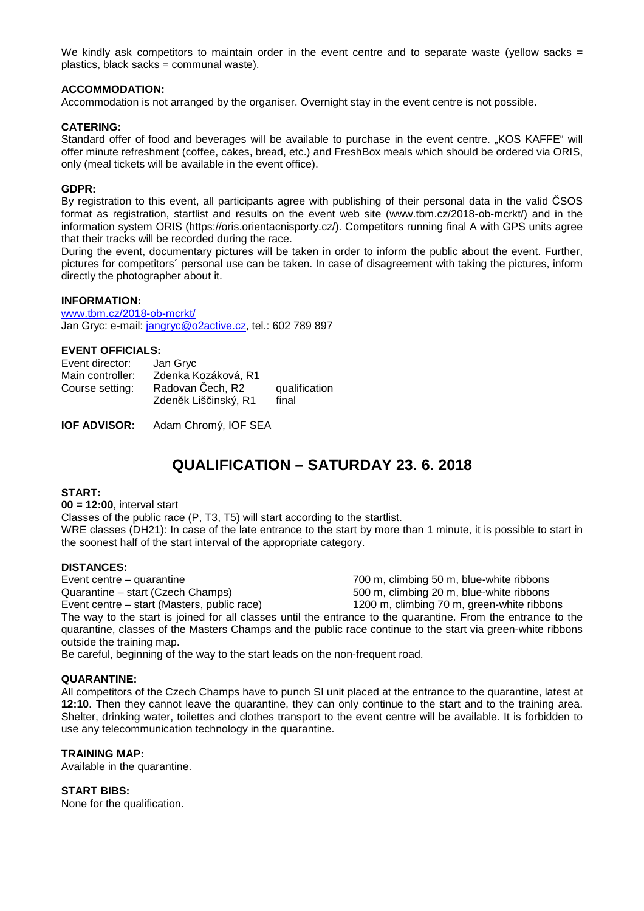We kindly ask competitors to maintain order in the event centre and to separate waste (yellow sacks = plastics, black sacks = communal waste).

# **ACCOMMODATION:**

Accommodation is not arranged by the organiser. Overnight stay in the event centre is not possible.

# **CATERING:**

Standard offer of food and beverages will be available to purchase in the event centre. "KOS KAFFE" will offer minute refreshment (coffee, cakes, bread, etc.) and FreshBox meals which should be ordered via ORIS, only (meal tickets will be available in the event office).

# **GDPR:**

By registration to this event, all participants agree with publishing of their personal data in the valid ČSOS format as registration, startlist and results on the event web site (www.tbm.cz/2018-ob-mcrkt/) and in the information system ORIS (https://oris.orientacnisporty.cz/). Competitors running final A with GPS units agree that their tracks will be recorded during the race.

During the event, documentary pictures will be taken in order to inform the public about the event. Further, pictures for competitors´ personal use can be taken. In case of disagreement with taking the pictures, inform directly the photographer about it.

# **INFORMATION:**

www.tbm.cz/2018-ob-mcrkt/ Jan Gryc: e-mail: jangryc@o2active.cz, tel.: 602 789 897

# **EVENT OFFICIALS:**

| Event director:  | Jan Gryc                                 |                        |
|------------------|------------------------------------------|------------------------|
| Main controller: | Zdenka Kozáková, R1                      |                        |
| Course setting:  | Radovan Čech, R2<br>Zdeněk Liščinský, R1 | qualification<br>final |

**IOF ADVISOR:** Adam Chromý, IOF SEA

# **QUALIFICATION – SATURDAY 23. 6. 2018**

# **START:**

**00 = 12:00**, interval start Classes of the public race (P, T3, T5) will start according to the startlist. WRE classes (DH21): In case of the late entrance to the start by more than 1 minute, it is possible to start in the soonest half of the start interval of the appropriate category.

# **DISTANCES:**

Event centre – quarantine 700 m, climbing 50 m, blue-white ribbons Quarantine – start (Czech Champs) 500 m, climbing 20 m, blue-white ribbons Event centre – start (Masters, public race) 1200 m, climbing 70 m, green-white ribbons The way to the start is joined for all classes until the entrance to the quarantine. From the entrance to the quarantine, classes of the Masters Champs and the public race continue to the start via green-white ribbons outside the training map.

Be careful, beginning of the way to the start leads on the non-frequent road.

# **QUARANTINE:**

All competitors of the Czech Champs have to punch SI unit placed at the entrance to the quarantine, latest at **12:10**. Then they cannot leave the quarantine, they can only continue to the start and to the training area. Shelter, drinking water, toilettes and clothes transport to the event centre will be available. It is forbidden to use any telecommunication technology in the quarantine.

# **TRAINING MAP:**

Available in the quarantine.

# **START BIBS:**

None for the qualification.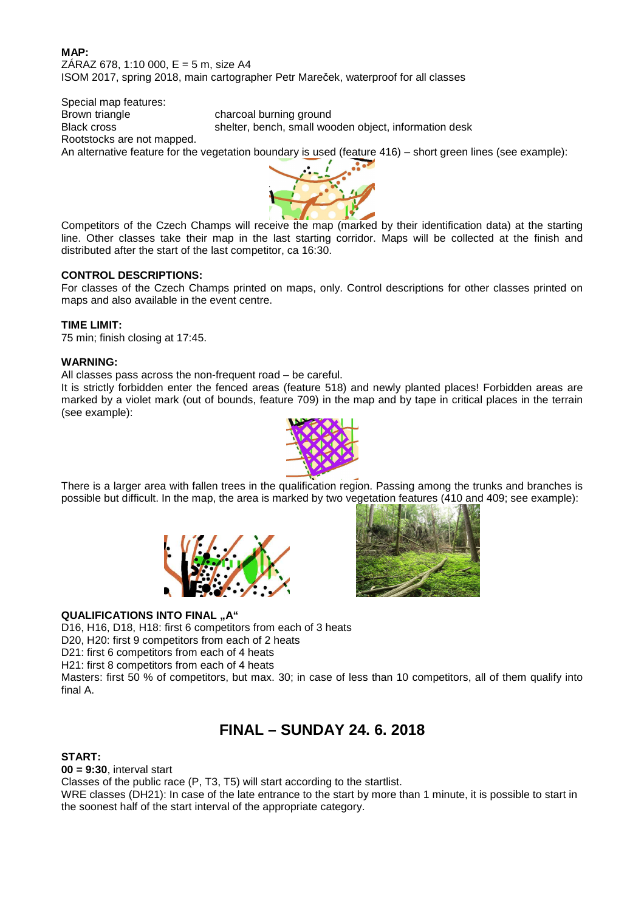# **MAP:**  $ZÁRAZ 678, 1:10 000, E = 5 m, size A4$ ISOM 2017, spring 2018, main cartographer Petr Mareček, waterproof for all classes

Special map features: Brown triangle charcoal burning ground Black cross shelter, bench, small wooden object, information desk Rootstocks are not mapped. An alternative feature for the vegetation boundary is used (feature 416) – short green lines (see example):



Competitors of the Czech Champs will receive the map (marked by their identification data) at the starting line. Other classes take their map in the last starting corridor. Maps will be collected at the finish and distributed after the start of the last competitor, ca 16:30.

# **CONTROL DESCRIPTIONS:**

For classes of the Czech Champs printed on maps, only. Control descriptions for other classes printed on maps and also available in the event centre.

# **TIME LIMIT:**

75 min; finish closing at 17:45.

# **WARNING:**

All classes pass across the non-frequent road – be careful.

It is strictly forbidden enter the fenced areas (feature 518) and newly planted places! Forbidden areas are marked by a violet mark (out of bounds, feature 709) in the map and by tape in critical places in the terrain (see example):



There is a larger area with fallen trees in the qualification region. Passing among the trunks and branches is possible but difficult. In the map, the area is marked by two vegetation features (410 and 409; see example):





# **QUALIFICATIONS INTO FINAL "A"**

D16, H16, D18, H18: first 6 competitors from each of 3 heats

D20, H20: first 9 competitors from each of 2 heats

D21: first 6 competitors from each of 4 heats

H21: first 8 competitors from each of 4 heats

Masters: first 50 % of competitors, but max. 30; in case of less than 10 competitors, all of them qualify into final A.

# **FINAL – SUNDAY 24. 6. 2018**

# **START:**

**00 = 9:30**, interval start

Classes of the public race (P, T3, T5) will start according to the startlist.

WRE classes (DH21): In case of the late entrance to the start by more than 1 minute, it is possible to start in the soonest half of the start interval of the appropriate category.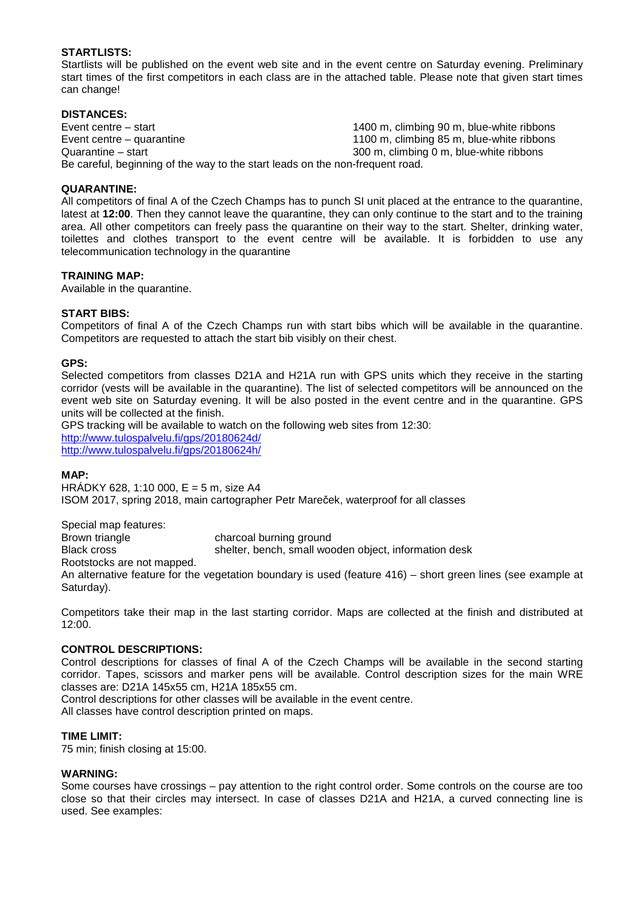# **STARTLISTS:**

Startlists will be published on the event web site and in the event centre on Saturday evening. Preliminary start times of the first competitors in each class are in the attached table. Please note that given start times can change!

# **DISTANCES:**

Event centre – start 1400 m, climbing 90 m, blue-white ribbons Event centre – quarantine 1100 m, climbing 85 m, blue-white ribbons Quarantine – start 300 m, climbing 0 m, blue-white ribbons Be careful, beginning of the way to the start leads on the non-frequent road.

# **QUARANTINE:**

All competitors of final A of the Czech Champs has to punch SI unit placed at the entrance to the quarantine, latest at **12:00**. Then they cannot leave the quarantine, they can only continue to the start and to the training area. All other competitors can freely pass the quarantine on their way to the start. Shelter, drinking water, toilettes and clothes transport to the event centre will be available. It is forbidden to use any telecommunication technology in the quarantine

# **TRAINING MAP:**

Available in the quarantine.

# **START BIBS:**

Competitors of final A of the Czech Champs run with start bibs which will be available in the quarantine. Competitors are requested to attach the start bib visibly on their chest.

# **GPS:**

Selected competitors from classes D21A and H21A run with GPS units which they receive in the starting corridor (vests will be available in the quarantine). The list of selected competitors will be announced on the event web site on Saturday evening. It will be also posted in the event centre and in the quarantine. GPS units will be collected at the finish.

GPS tracking will be available to watch on the following web sites from 12:30: http://www.tulospalvelu.fi/gps/20180624d/ http://www.tulospalvelu.fi/gps/20180624h/

# **MAP:**

HRÁDKY 628, 1:10 000,  $E = 5$  m, size A4 ISOM 2017, spring 2018, main cartographer Petr Mareček, waterproof for all classes

Special map features:

Brown triangle charcoal burning ground

Black cross shelter, bench, small wooden object, information desk

Rootstocks are not mapped.

An alternative feature for the vegetation boundary is used (feature 416) – short green lines (see example at Saturday).

Competitors take their map in the last starting corridor. Maps are collected at the finish and distributed at 12:00.

# **CONTROL DESCRIPTIONS:**

Control descriptions for classes of final A of the Czech Champs will be available in the second starting corridor. Tapes, scissors and marker pens will be available. Control description sizes for the main WRE classes are: D21A 145x55 cm, H21A 185x55 cm.

Control descriptions for other classes will be available in the event centre.

All classes have control description printed on maps.

# **TIME LIMIT:**

75 min; finish closing at 15:00.

# **WARNING:**

Some courses have crossings – pay attention to the right control order. Some controls on the course are too close so that their circles may intersect. In case of classes D21A and H21A, a curved connecting line is used. See examples: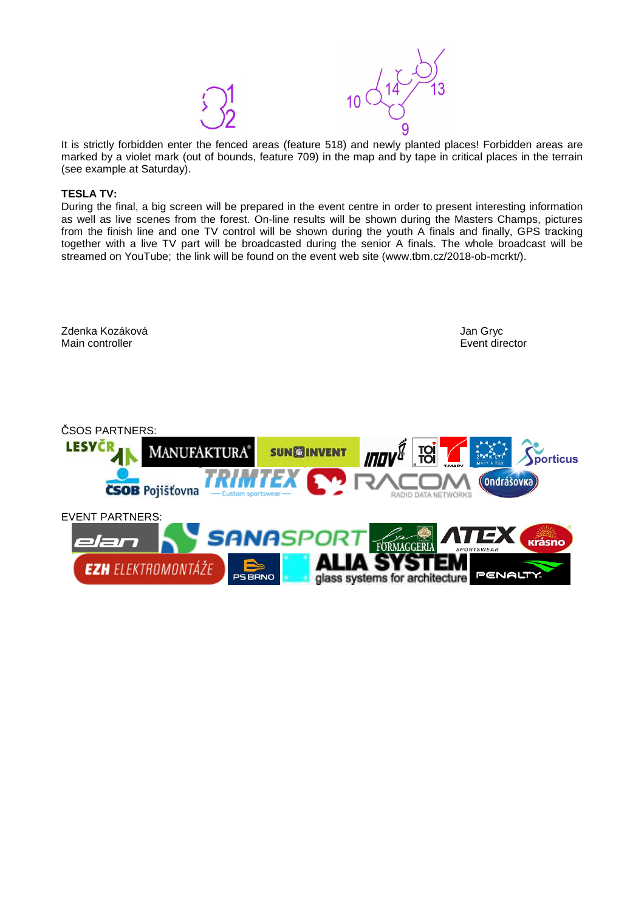

It is strictly forbidden enter the fenced areas (feature 518) and newly planted places! Forbidden areas are marked by a violet mark (out of bounds, feature 709) in the map and by tape in critical places in the terrain (see example at Saturday).

# **TESLA TV:**

During the final, a big screen will be prepared in the event centre in order to present interesting information as well as live scenes from the forest. On-line results will be shown during the Masters Champs, pictures from the finish line and one TV control will be shown during the youth A finals and finally, GPS tracking together with a live TV part will be broadcasted during the senior A finals. The whole broadcast will be streamed on YouTube; the link will be found on the event web site (www.tbm.cz/2018-ob-mcrkt/).

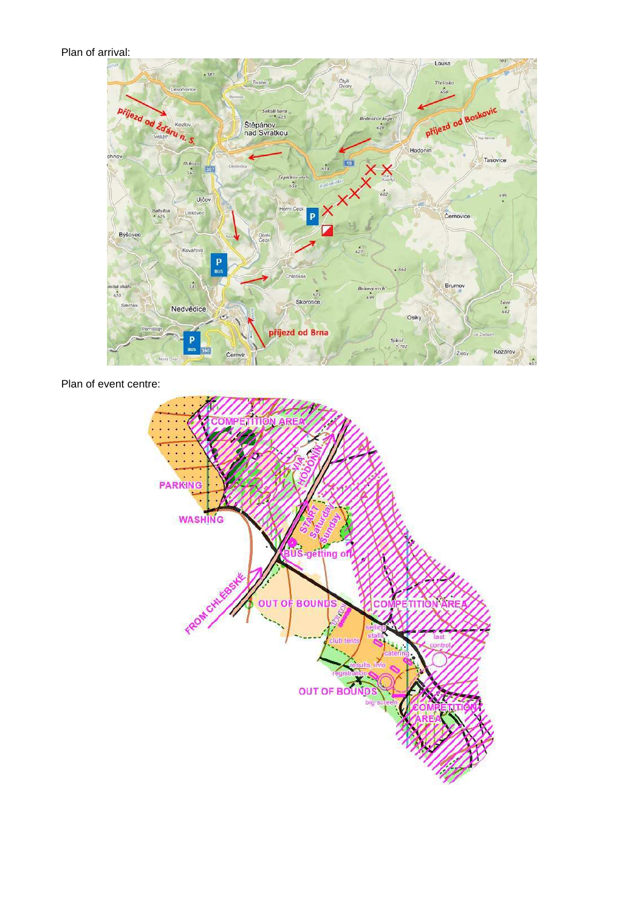# Plan of arrival:



Plan of event centre: